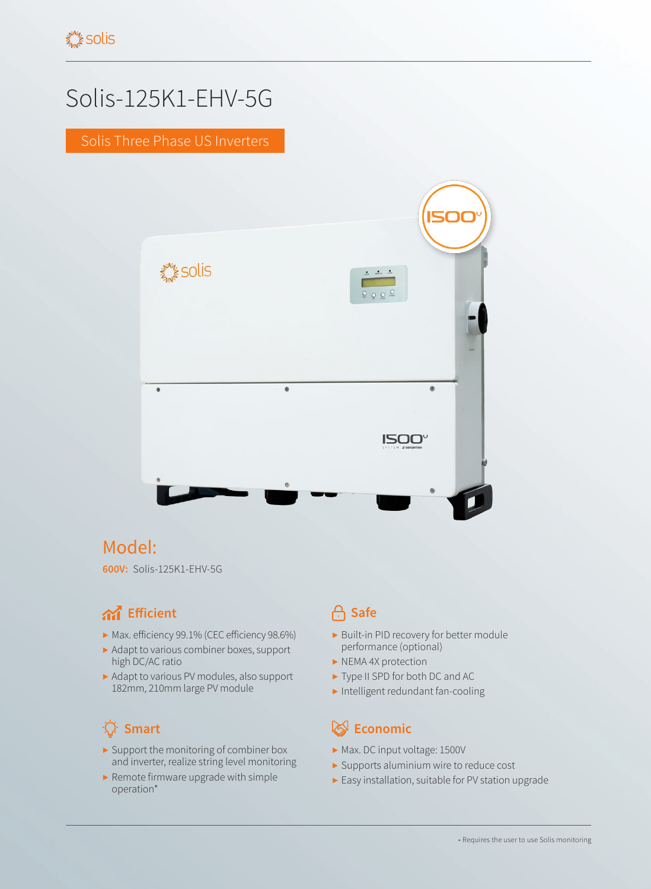# Solis-125K1-EHV-5G

Solis Three Phase US Inverters



# Model:

**600V:** Solis-125K1-EHV-5G

### **And** Efficient **Container and Safe**

- ▶ Max. efficiency 99.1% (CEC efficiency 98.6%)
- ▶ Adapt to various combiner boxes, support high DC/AC ratio
- ▶ Adapt to various PV modules, also support 182mm, 210mm large PV module

# 

- ▶ Support the monitoring of combiner box and inverter, realize string level monitoring
- ▶ Remote firmware upgrade with simple operation\*

- ▶ Built-in PID recovery for better module performance (optional)
- ▶ NEMA 4X protection
- ▶ Type II SPD for both DC and AC
- ▶ Intelligent redundant fan-cooling

### **Smart Example 2018 Example 2019 Economic**

- ▶ Max. DC input voltage: 1500V
- ▶ Supports aluminium wire to reduce cost
- ▶ Easy installation, suitable for PV station upgrade